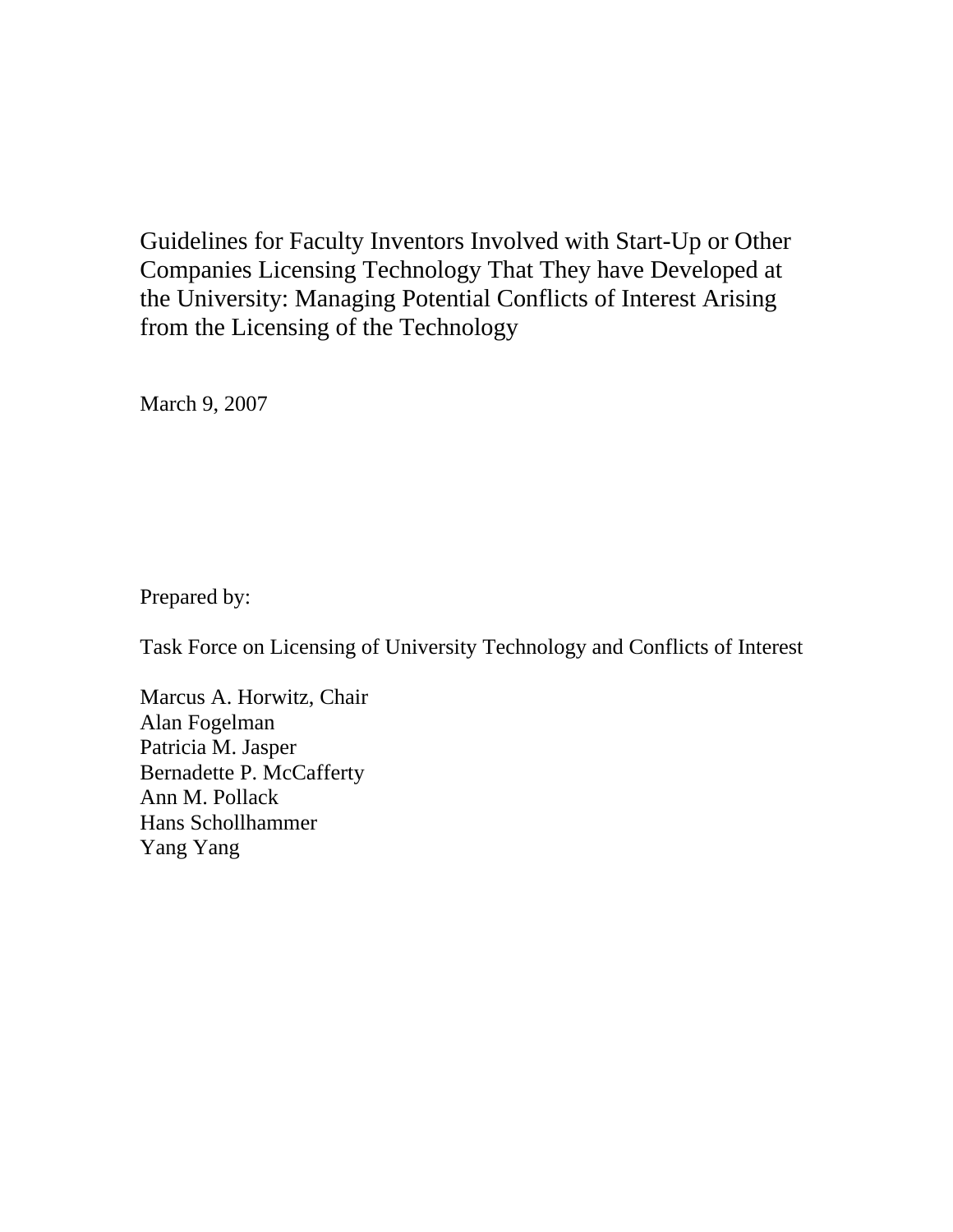Guidelines for Faculty Inventors Involved with Start-Up or Other Companies Licensing Technology That They have Developed at the University: Managing Potential Conflicts of Interest Arising from the Licensing of the Technology

March 9, 2007

Prepared by:

Task Force on Licensing of University Technology and Conflicts of Interest

Marcus A. Horwitz, Chair Alan Fogelman Patricia M. Jasper Bernadette P. McCafferty Ann M. Pollack Hans Schollhammer Yang Yang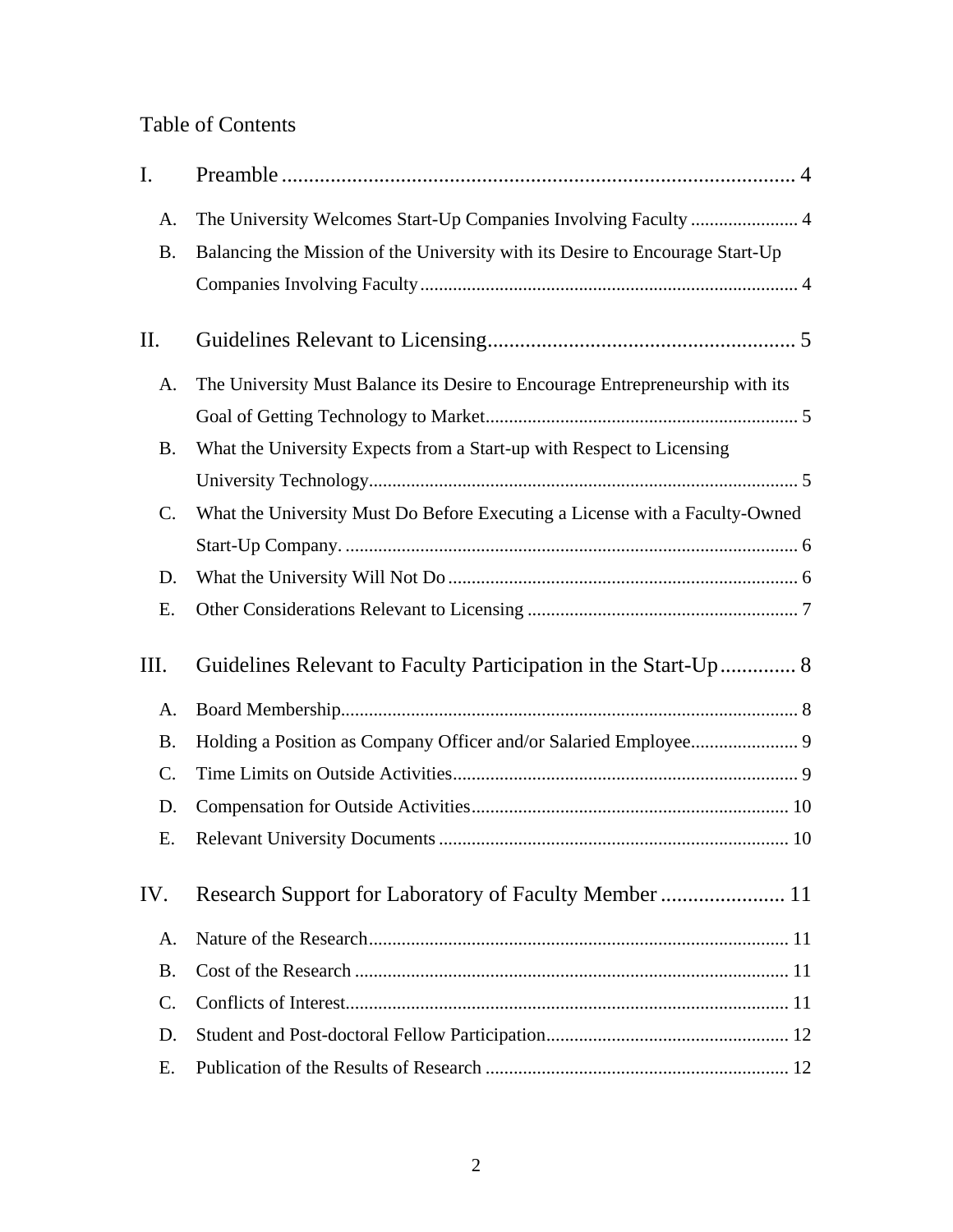# Table of Contents

| I.              |                                                                               |
|-----------------|-------------------------------------------------------------------------------|
| A.              |                                                                               |
| <b>B.</b>       | Balancing the Mission of the University with its Desire to Encourage Start-Up |
|                 |                                                                               |
| II.             |                                                                               |
| A.              | The University Must Balance its Desire to Encourage Entrepreneurship with its |
|                 |                                                                               |
| <b>B.</b>       | What the University Expects from a Start-up with Respect to Licensing         |
|                 |                                                                               |
| $\mathbf{C}$ .  | What the University Must Do Before Executing a License with a Faculty-Owned   |
|                 |                                                                               |
| D.              |                                                                               |
| Ε.              |                                                                               |
| Ш.              | Guidelines Relevant to Faculty Participation in the Start-Up 8                |
| A.              |                                                                               |
| <b>B.</b>       |                                                                               |
| $\mathcal{C}$ . |                                                                               |
| D.              |                                                                               |
| Е.              |                                                                               |
| IV.             |                                                                               |
| A.              |                                                                               |
| <b>B.</b>       |                                                                               |
| C.              |                                                                               |
| D.              |                                                                               |
| Е.              |                                                                               |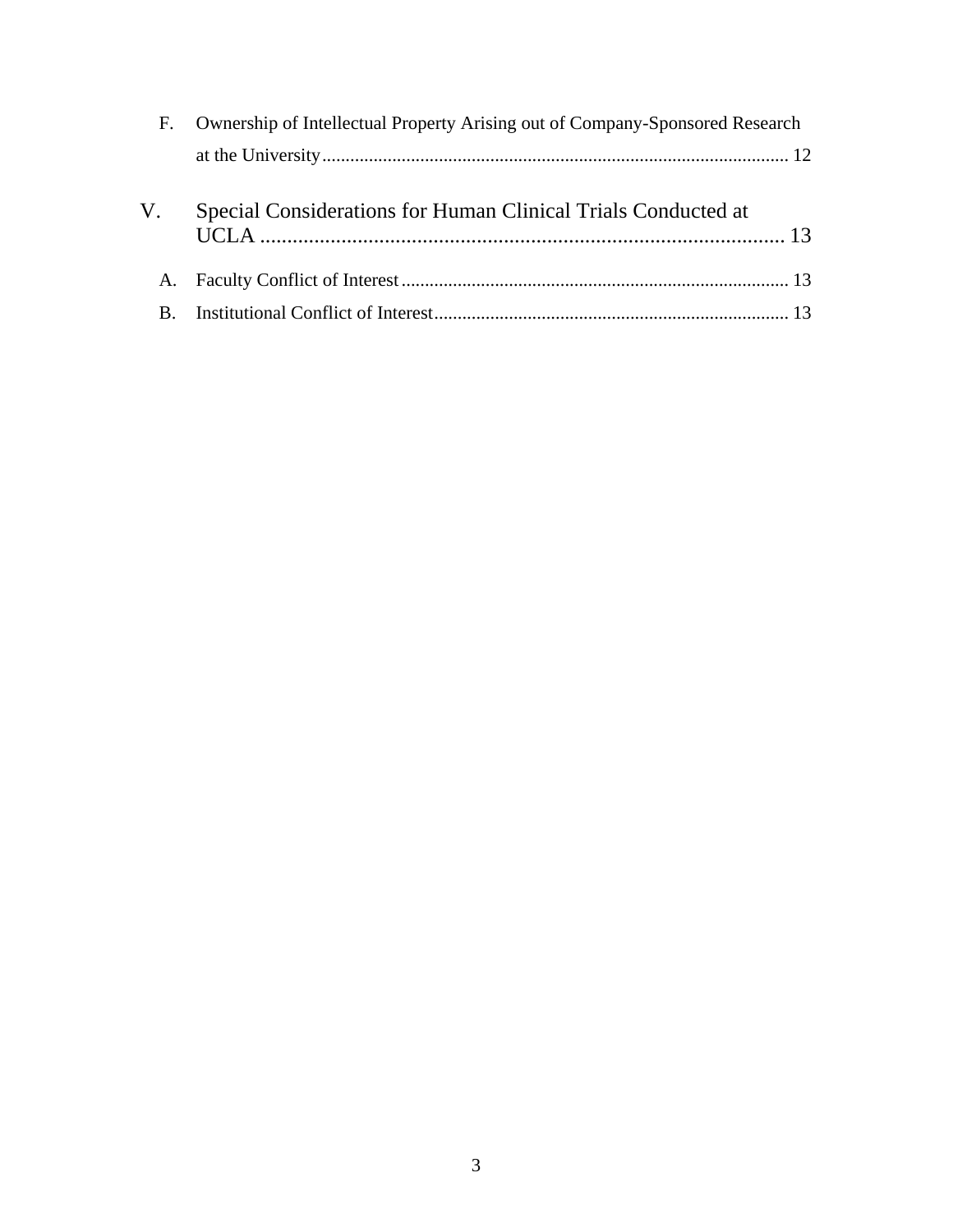|             | F. Ownership of Intellectual Property Arising out of Company-Sponsored Research |  |
|-------------|---------------------------------------------------------------------------------|--|
|             |                                                                                 |  |
| V.          | Special Considerations for Human Clinical Trials Conducted at                   |  |
|             |                                                                                 |  |
| $B_{\cdot}$ |                                                                                 |  |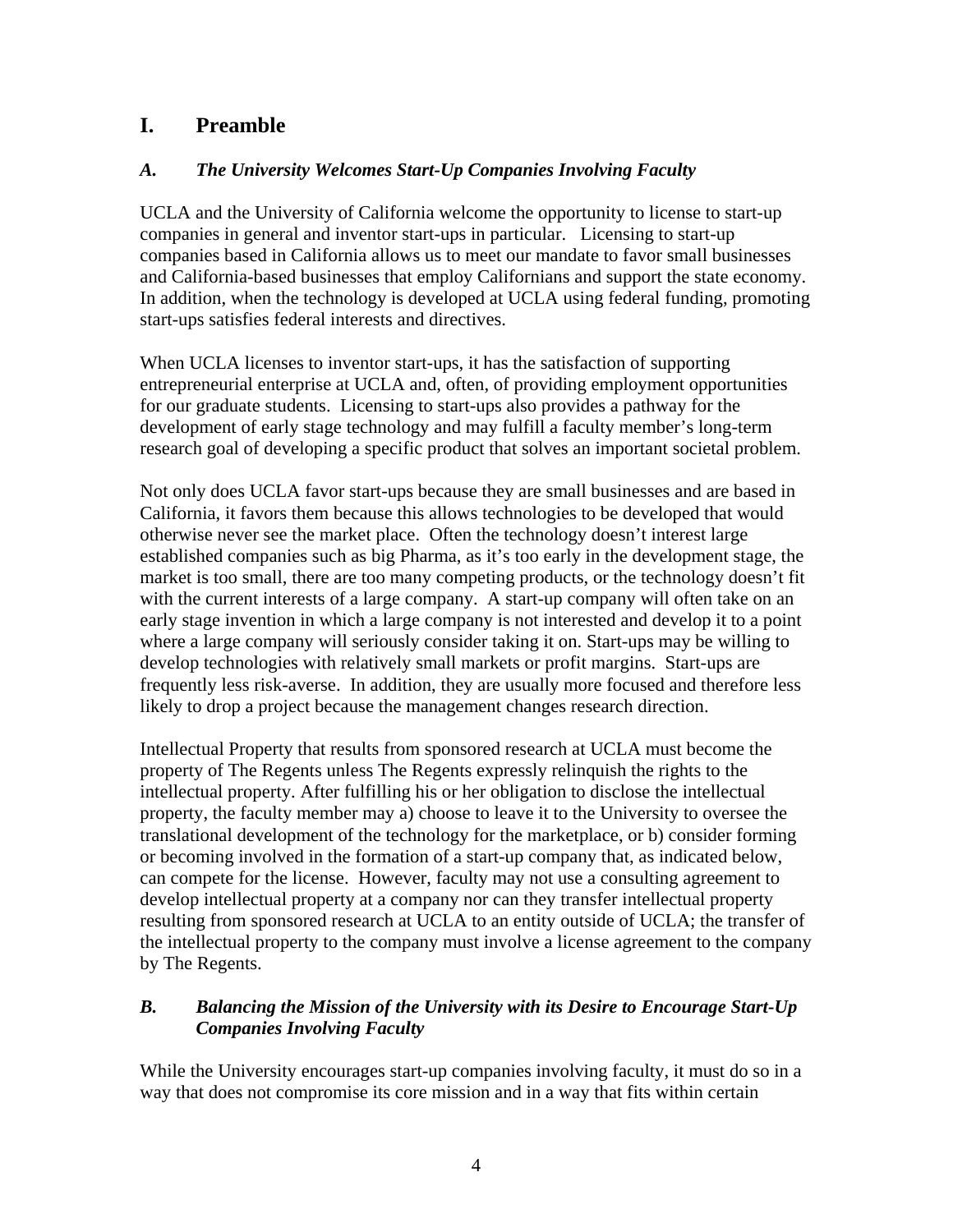# <span id="page-3-0"></span>**I. Preamble**

# *A. The University Welcomes Start-Up Companies Involving Faculty*

UCLA and the University of California welcome the opportunity to license to start-up companies in general and inventor start-ups in particular. Licensing to start-up companies based in California allows us to meet our mandate to favor small businesses and California-based businesses that employ Californians and support the state economy. In addition, when the technology is developed at UCLA using federal funding, promoting start-ups satisfies federal interests and directives.

When UCLA licenses to inventor start-ups, it has the satisfaction of supporting entrepreneurial enterprise at UCLA and, often, of providing employment opportunities for our graduate students. Licensing to start-ups also provides a pathway for the development of early stage technology and may fulfill a faculty member's long-term research goal of developing a specific product that solves an important societal problem.

Not only does UCLA favor start-ups because they are small businesses and are based in California, it favors them because this allows technologies to be developed that would otherwise never see the market place. Often the technology doesn't interest large established companies such as big Pharma, as it's too early in the development stage, the market is too small, there are too many competing products, or the technology doesn't fit with the current interests of a large company. A start-up company will often take on an early stage invention in which a large company is not interested and develop it to a point where a large company will seriously consider taking it on. Start-ups may be willing to develop technologies with relatively small markets or profit margins. Start-ups are frequently less risk-averse. In addition, they are usually more focused and therefore less likely to drop a project because the management changes research direction.

Intellectual Property that results from sponsored research at UCLA must become the property of The Regents unless The Regents expressly relinquish the rights to the intellectual property. After fulfilling his or her obligation to disclose the intellectual property, the faculty member may a) choose to leave it to the University to oversee the translational development of the technology for the marketplace, or b) consider forming or becoming involved in the formation of a start-up company that, as indicated below, can compete for the license. However, faculty may not use a consulting agreement to develop intellectual property at a company nor can they transfer intellectual property resulting from sponsored research at UCLA to an entity outside of UCLA; the transfer of the intellectual property to the company must involve a license agreement to the company by The Regents.

# *B. Balancing the Mission of the University with its Desire to Encourage Start-Up Companies Involving Faculty*

While the University encourages start-up companies involving faculty, it must do so in a way that does not compromise its core mission and in a way that fits within certain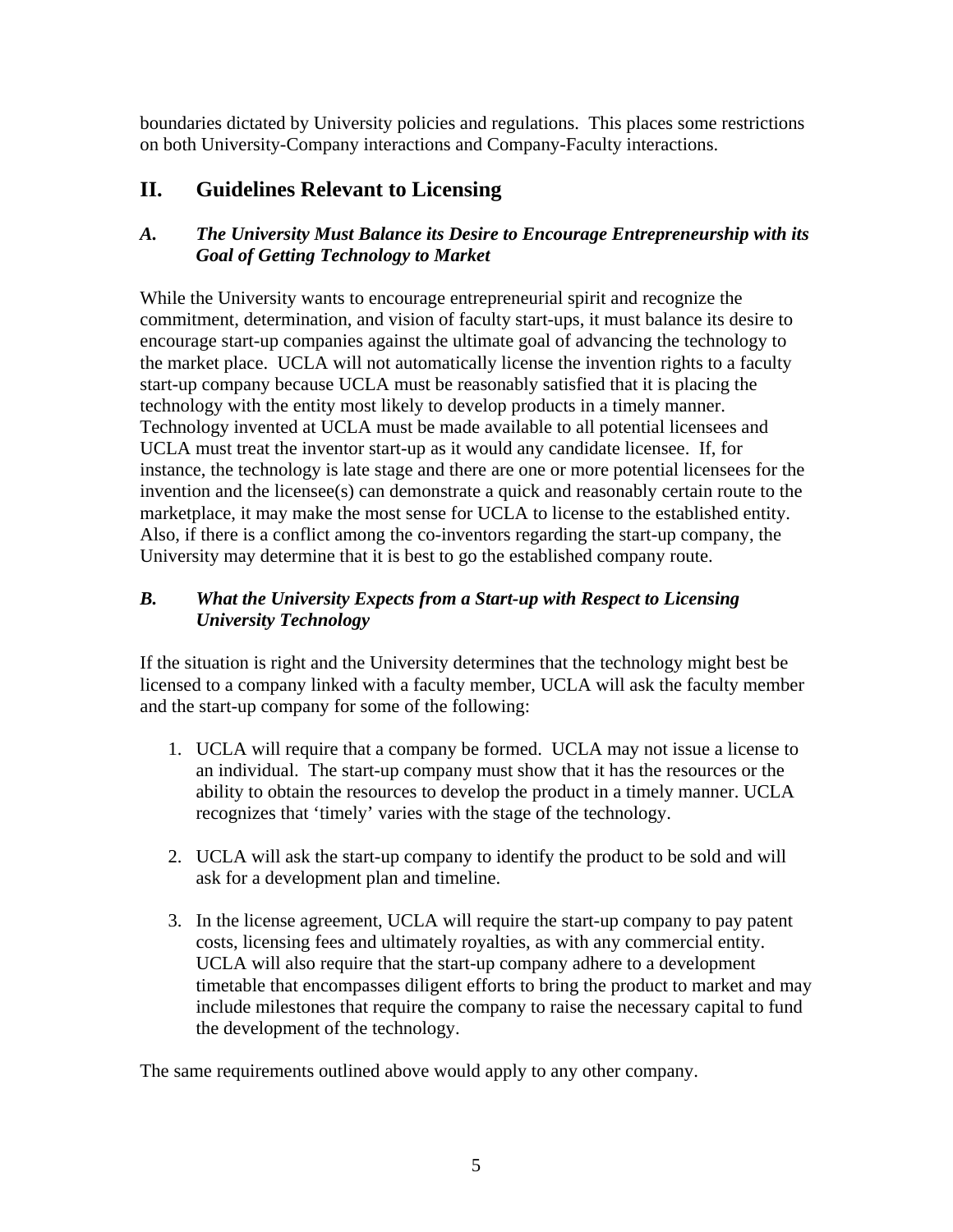<span id="page-4-0"></span>boundaries dictated by University policies and regulations. This places some restrictions on both University-Company interactions and Company-Faculty interactions.

# **II. Guidelines Relevant to Licensing**

#### *A. The University Must Balance its Desire to Encourage Entrepreneurship with its Goal of Getting Technology to Market*

While the University wants to encourage entrepreneurial spirit and recognize the commitment, determination, and vision of faculty start-ups, it must balance its desire to encourage start-up companies against the ultimate goal of advancing the technology to the market place. UCLA will not automatically license the invention rights to a faculty start-up company because UCLA must be reasonably satisfied that it is placing the technology with the entity most likely to develop products in a timely manner. Technology invented at UCLA must be made available to all potential licensees and UCLA must treat the inventor start-up as it would any candidate licensee. If, for instance, the technology is late stage and there are one or more potential licensees for the invention and the licensee(s) can demonstrate a quick and reasonably certain route to the marketplace, it may make the most sense for UCLA to license to the established entity. Also, if there is a conflict among the co-inventors regarding the start-up company, the University may determine that it is best to go the established company route.

#### *B. What the University Expects from a Start-up with Respect to Licensing University Technology*

If the situation is right and the University determines that the technology might best be licensed to a company linked with a faculty member, UCLA will ask the faculty member and the start-up company for some of the following:

- 1. UCLA will require that a company be formed. UCLA may not issue a license to an individual. The start-up company must show that it has the resources or the ability to obtain the resources to develop the product in a timely manner. UCLA recognizes that 'timely' varies with the stage of the technology.
- 2. UCLA will ask the start-up company to identify the product to be sold and will ask for a development plan and timeline.
- 3. In the license agreement, UCLA will require the start-up company to pay patent costs, licensing fees and ultimately royalties, as with any commercial entity. UCLA will also require that the start-up company adhere to a development timetable that encompasses diligent efforts to bring the product to market and may include milestones that require the company to raise the necessary capital to fund the development of the technology.

The same requirements outlined above would apply to any other company.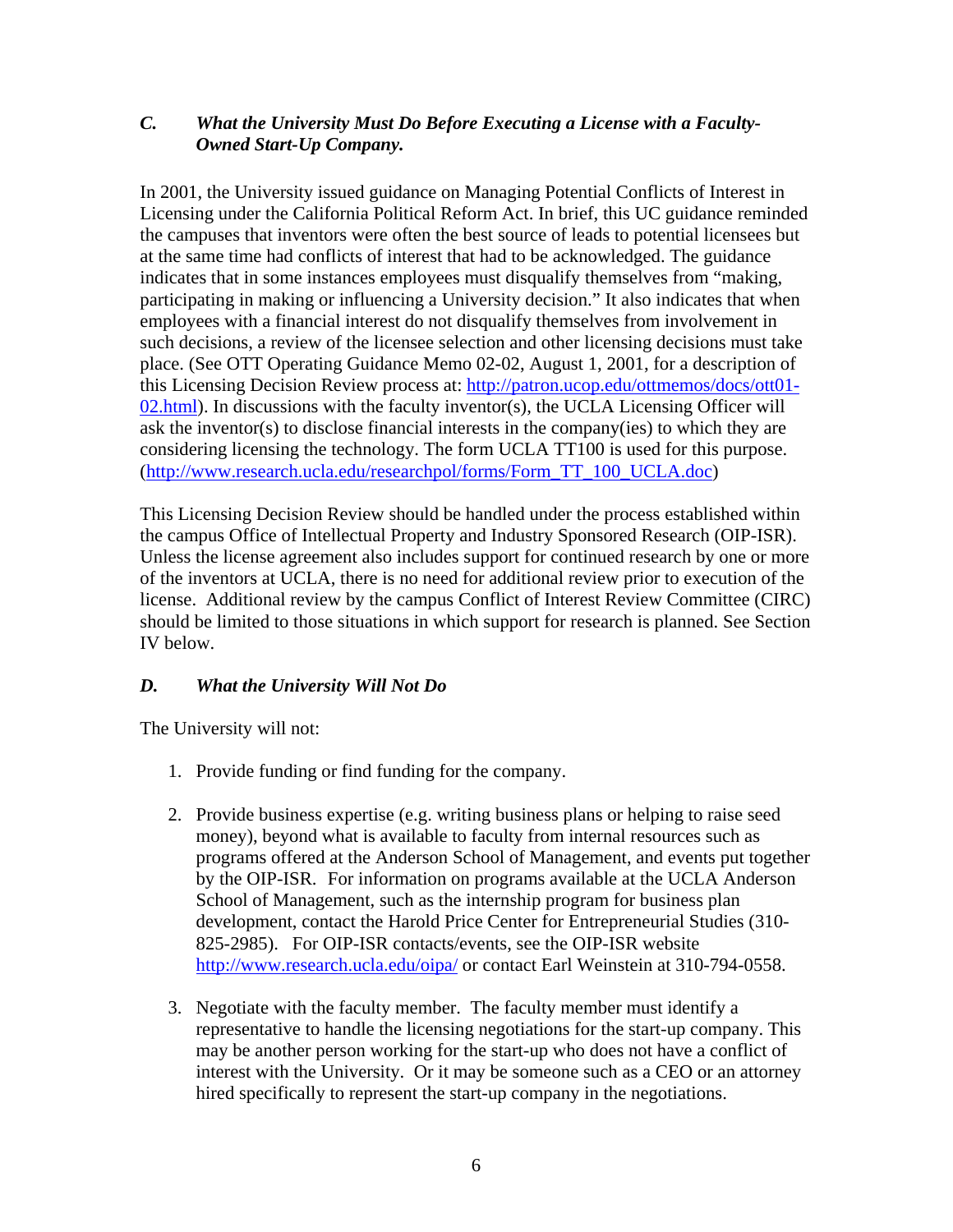#### <span id="page-5-0"></span>*C. What the University Must Do Before Executing a License with a Faculty-Owned Start-Up Company.*

In 2001, the University issued guidance on Managing Potential Conflicts of Interest in Licensing under the California Political Reform Act. In brief, this UC guidance reminded the campuses that inventors were often the best source of leads to potential licensees but at the same time had conflicts of interest that had to be acknowledged. The guidance indicates that in some instances employees must disqualify themselves from "making, participating in making or influencing a University decision." It also indicates that when employees with a financial interest do not disqualify themselves from involvement in such decisions, a review of the licensee selection and other licensing decisions must take place. (See OTT Operating Guidance Memo 02-02, August 1, 2001, for a description of this Licensing Decision Review process at: [http://patron.ucop.edu/ottmemos/docs/ott01-](http://patron.ucop.edu/ottmemos/docs/ott01-02.html) [02.html\)](http://patron.ucop.edu/ottmemos/docs/ott01-02.html). In discussions with the faculty inventor(s), the UCLA Licensing Officer will ask the inventor(s) to disclose financial interests in the company(ies) to which they are considering licensing the technology. The form UCLA TT100 is used for this purpose. ([http://www.research.ucla.edu/researchpol/forms/Form\\_TT\\_100\\_UCLA.doc\)](http://www.research.ucla.edu/researchpol/forms/Form_TT_100_UCLA.doc)

This Licensing Decision Review should be handled under the process established within the campus Office of Intellectual Property and Industry Sponsored Research (OIP-ISR). Unless the license agreement also includes support for continued research by one or more of the inventors at UCLA, there is no need for additional review prior to execution of the license. Additional review by the campus Conflict of Interest Review Committee (CIRC) should be limited to those situations in which support for research is planned. See Section IV below.

#### *D. What the University Will Not Do*

The University will not:

- 1. Provide funding or find funding for the company.
- 2. Provide business expertise (e.g. writing business plans or helping to raise seed money), beyond what is available to faculty from internal resources such as programs offered at the Anderson School of Management, and events put together by the OIP-ISR. For information on programs available at the UCLA Anderson School of Management, such as the internship program for business plan development, contact the Harold Price Center for Entrepreneurial Studies (310- 825-2985). For OIP-ISR contacts/events, see the OIP-ISR website <http://www.research.ucla.edu/oipa/> or contact Earl Weinstein at 310-794-0558.
- 3. Negotiate with the faculty member. The faculty member must identify a representative to handle the licensing negotiations for the start-up company. This may be another person working for the start-up who does not have a conflict of interest with the University. Or it may be someone such as a CEO or an attorney hired specifically to represent the start-up company in the negotiations.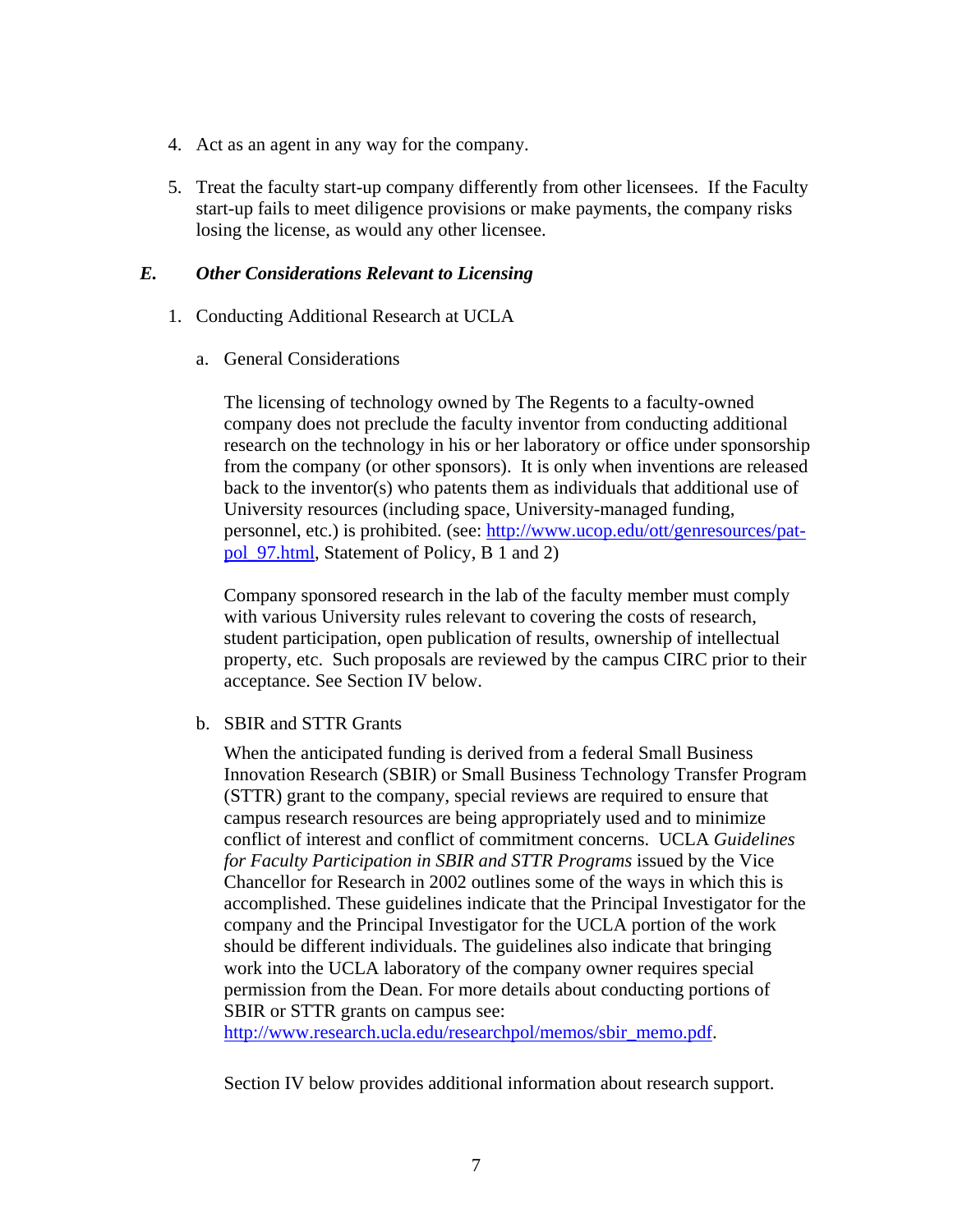- <span id="page-6-0"></span>4. Act as an agent in any way for the company.
- 5. Treat the faculty start-up company differently from other licensees. If the Faculty start-up fails to meet diligence provisions or make payments, the company risks losing the license, as would any other licensee.

#### *E. Other Considerations Relevant to Licensing*

- 1. Conducting Additional Research at UCLA
	- a. General Considerations

The licensing of technology owned by The Regents to a faculty-owned company does not preclude the faculty inventor from conducting additional research on the technology in his or her laboratory or office under sponsorship from the company (or other sponsors). It is only when inventions are released back to the inventor(s) who patents them as individuals that additional use of University resources (including space, University-managed funding, personnel, etc.) is prohibited. (see: [http://www.ucop.edu/ott/genresources/pat](http://www.ucop.edu/ott/genresources/pat-pol_97.html)[pol\\_97.html](http://www.ucop.edu/ott/genresources/pat-pol_97.html), Statement of Policy, B 1 and 2)

Company sponsored research in the lab of the faculty member must comply with various University rules relevant to covering the costs of research, student participation, open publication of results, ownership of intellectual property, etc. Such proposals are reviewed by the campus CIRC prior to their acceptance. See Section IV below.

b. SBIR and STTR Grants

When the anticipated funding is derived from a federal Small Business Innovation Research (SBIR) or Small Business Technology Transfer Program (STTR) grant to the company, special reviews are required to ensure that campus research resources are being appropriately used and to minimize conflict of interest and conflict of commitment concerns. UCLA *Guidelines for Faculty Participation in SBIR and STTR Programs* issued by the Vice Chancellor for Research in 2002 outlines some of the ways in which this is accomplished. These guidelines indicate that the Principal Investigator for the company and the Principal Investigator for the UCLA portion of the work should be different individuals. The guidelines also indicate that bringing work into the UCLA laboratory of the company owner requires special permission from the Dean. For more details about conducting portions of SBIR or STTR grants on campus see:

[http://www.research.ucla.edu/researchpol/memos/sbir\\_memo.pdf.](http://www.research.ucla.edu/researchpol/memos/sbir_memo.pdf)

Section IV below provides additional information about research support.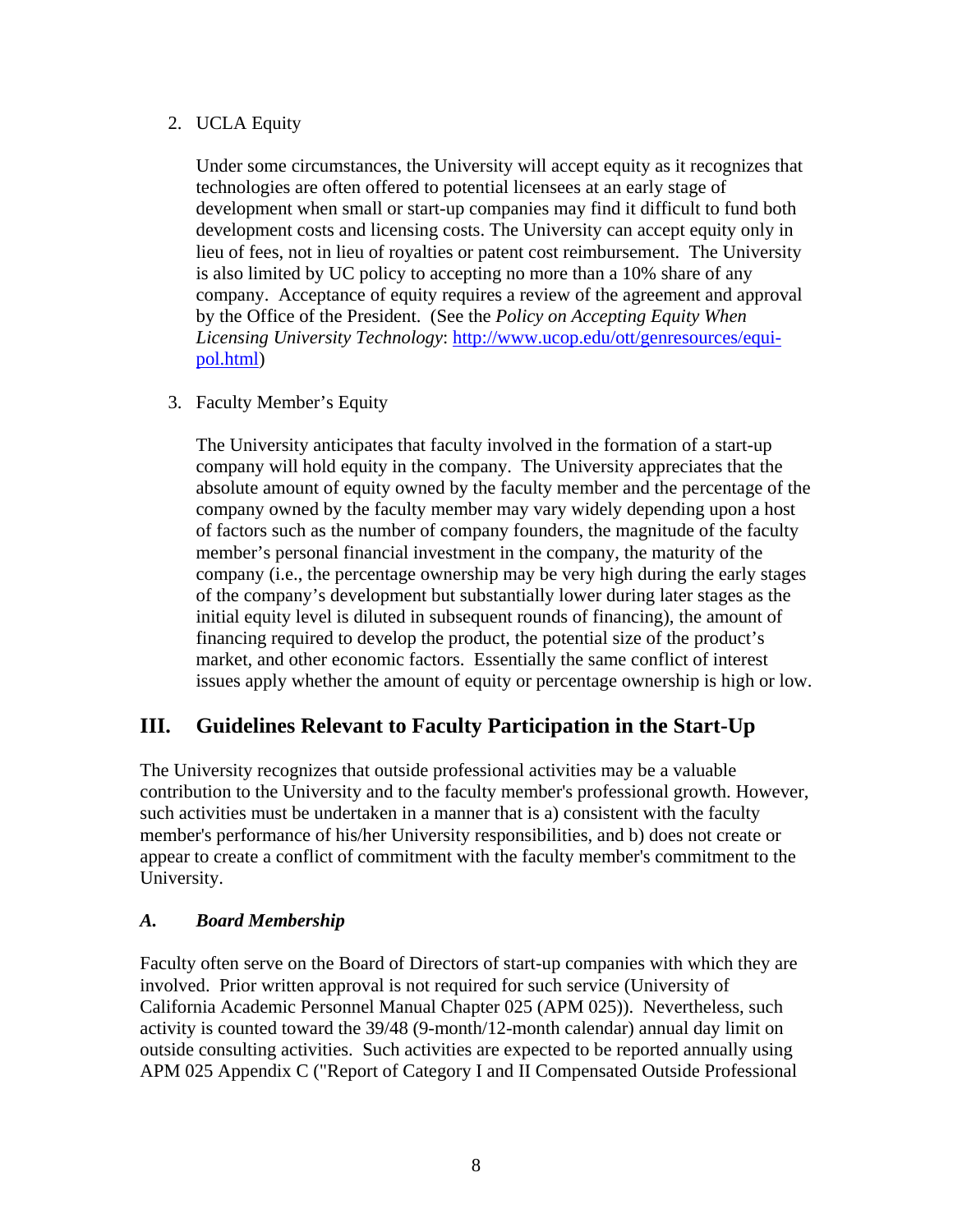#### <span id="page-7-0"></span>2. UCLA Equity

Under some circumstances, the University will accept equity as it recognizes that technologies are often offered to potential licensees at an early stage of development when small or start-up companies may find it difficult to fund both development costs and licensing costs. The University can accept equity only in lieu of fees, not in lieu of royalties or patent cost reimbursement. The University is also limited by UC policy to accepting no more than a 10% share of any company. Acceptance of equity requires a review of the agreement and approval by the Office of the President. (See the *Policy on Accepting Equity When Licensing University Technology*: [http://www.ucop.edu/ott/genresources/equi](http://www.ucop.edu/ott/genresources/equi-pol.html)[pol.html](http://www.ucop.edu/ott/genresources/equi-pol.html))

3. Faculty Member's Equity

The University anticipates that faculty involved in the formation of a start-up company will hold equity in the company. The University appreciates that the absolute amount of equity owned by the faculty member and the percentage of the company owned by the faculty member may vary widely depending upon a host of factors such as the number of company founders, the magnitude of the faculty member's personal financial investment in the company, the maturity of the company (i.e., the percentage ownership may be very high during the early stages of the company's development but substantially lower during later stages as the initial equity level is diluted in subsequent rounds of financing), the amount of financing required to develop the product, the potential size of the product's market, and other economic factors. Essentially the same conflict of interest issues apply whether the amount of equity or percentage ownership is high or low.

# **III. Guidelines Relevant to Faculty Participation in the Start-Up**

The University recognizes that outside professional activities may be a valuable contribution to the University and to the faculty member's professional growth. However, such activities must be undertaken in a manner that is a) consistent with the faculty member's performance of his/her University responsibilities, and b) does not create or appear to create a conflict of commitment with the faculty member's commitment to the University.

#### *A. Board Membership*

Faculty often serve on the Board of Directors of start-up companies with which they are involved. Prior written approval is not required for such service (University of California Academic Personnel Manual Chapter 025 (APM 025)). Nevertheless, such activity is counted toward the 39/48 (9-month/12-month calendar) annual day limit on outside consulting activities. Such activities are expected to be reported annually using APM 025 Appendix C ("Report of Category I and II Compensated Outside Professional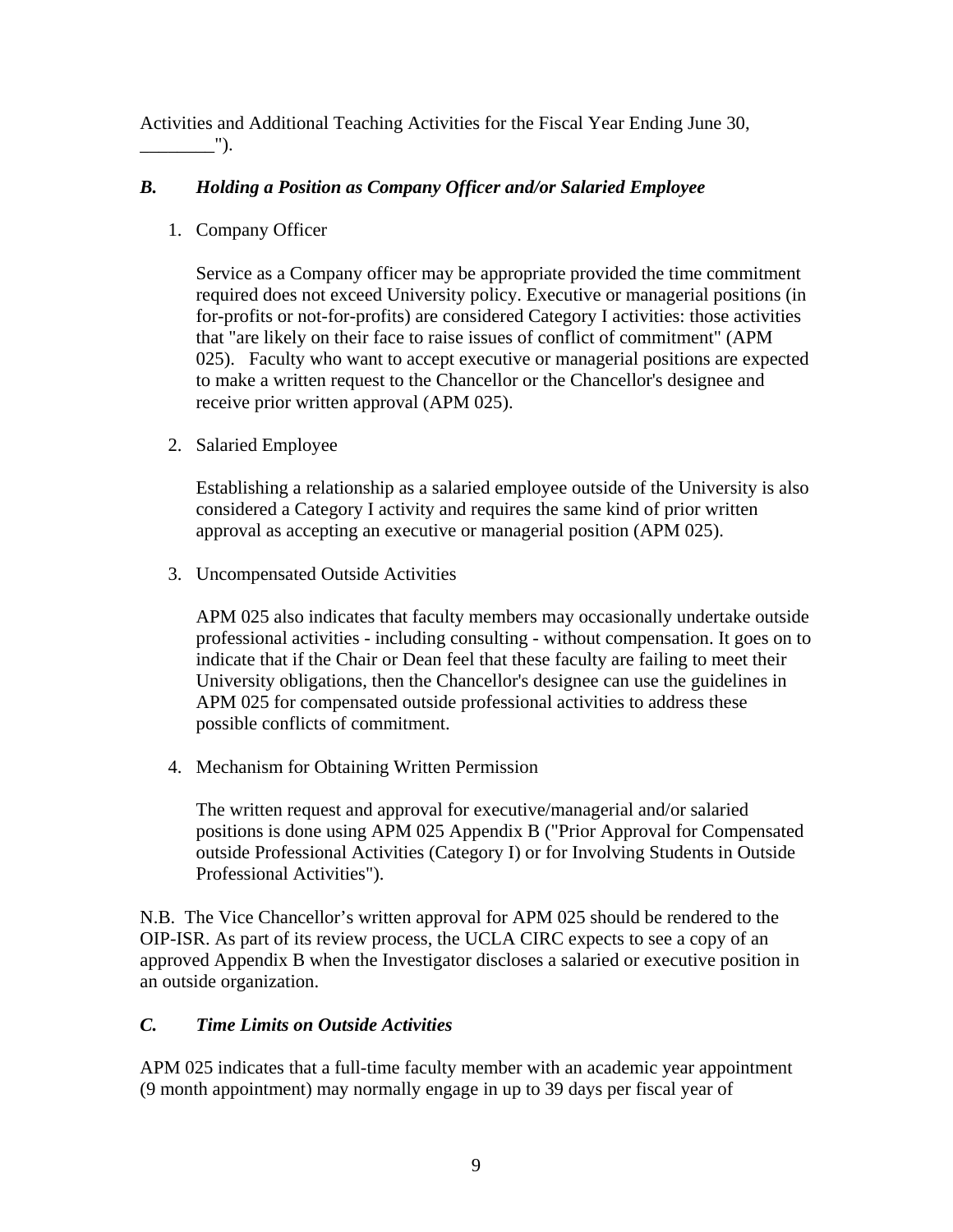<span id="page-8-0"></span>Activities and Additional Teaching Activities for the Fiscal Year Ending June 30,  $\qquad \qquad$   $\qquad$   $\qquad$   $\qquad$   $\qquad$   $\qquad$   $\qquad$   $\qquad$   $\qquad$   $\qquad$   $\qquad$   $\qquad$   $\qquad$   $\qquad$   $\qquad$   $\qquad$   $\qquad$   $\qquad$   $\qquad$   $\qquad$   $\qquad$   $\qquad$   $\qquad$   $\qquad$   $\qquad$   $\qquad$   $\qquad$   $\qquad$   $\qquad$   $\qquad$   $\qquad$   $\qquad$   $\qquad$   $\qquad$   $\qquad$   $\qquad$   $\$ 

### *B. Holding a Position as Company Officer and/or Salaried Employee*

1. Company Officer

Service as a Company officer may be appropriate provided the time commitment required does not exceed University policy. Executive or managerial positions (in for-profits or not-for-profits) are considered Category I activities: those activities that "are likely on their face to raise issues of conflict of commitment" (APM 025). Faculty who want to accept executive or managerial positions are expected to make a written request to the Chancellor or the Chancellor's designee and receive prior written approval (APM 025).

2. Salaried Employee

Establishing a relationship as a salaried employee outside of the University is also considered a Category I activity and requires the same kind of prior written approval as accepting an executive or managerial position (APM 025).

3. Uncompensated Outside Activities

APM 025 also indicates that faculty members may occasionally undertake outside professional activities - including consulting - without compensation. It goes on to indicate that if the Chair or Dean feel that these faculty are failing to meet their University obligations, then the Chancellor's designee can use the guidelines in APM 025 for compensated outside professional activities to address these possible conflicts of commitment.

4. Mechanism for Obtaining Written Permission

The written request and approval for executive/managerial and/or salaried positions is done using APM 025 Appendix B ("Prior Approval for Compensated outside Professional Activities (Category I) or for Involving Students in Outside Professional Activities").

N.B. The Vice Chancellor's written approval for APM 025 should be rendered to the OIP-ISR. As part of its review process, the UCLA CIRC expects to see a copy of an approved Appendix B when the Investigator discloses a salaried or executive position in an outside organization.

#### *C. Time Limits on Outside Activities*

APM 025 indicates that a full-time faculty member with an academic year appointment (9 month appointment) may normally engage in up to 39 days per fiscal year of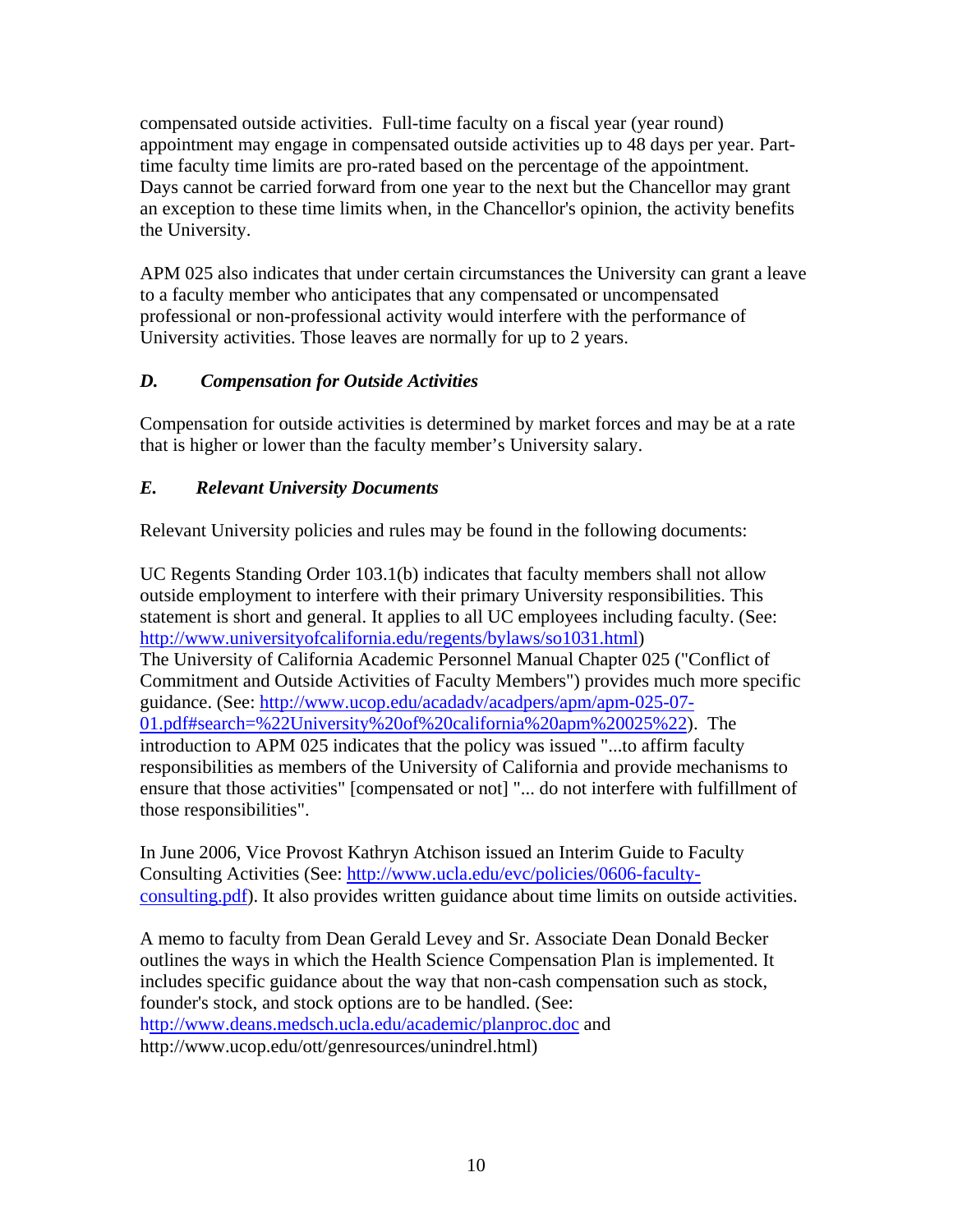<span id="page-9-0"></span>compensated outside activities. Full-time faculty on a fiscal year (year round) appointment may engage in compensated outside activities up to 48 days per year. Parttime faculty time limits are pro-rated based on the percentage of the appointment. Days cannot be carried forward from one year to the next but the Chancellor may grant an exception to these time limits when, in the Chancellor's opinion, the activity benefits the University.

APM 025 also indicates that under certain circumstances the University can grant a leave to a faculty member who anticipates that any compensated or uncompensated professional or non-professional activity would interfere with the performance of University activities. Those leaves are normally for up to 2 years.

# *D. Compensation for Outside Activities*

Compensation for outside activities is determined by market forces and may be at a rate that is higher or lower than the faculty member's University salary.

# *E. Relevant University Documents*

Relevant University policies and rules may be found in the following documents:

UC Regents Standing Order 103.1(b) indicates that faculty members shall not allow outside employment to interfere with their primary University responsibilities. This statement is short and general. It applies to all UC employees including faculty. (See: <http://www.universityofcalifornia.edu/regents/bylaws/so1031.html>) The University of California Academic Personnel Manual Chapter 025 ("Conflict of Commitment and Outside Activities of Faculty Members") provides much more specific guidance. (See: [http://www.ucop.edu/acadadv/acadpers/apm/apm-025-07-](http://www.ucop.edu/acadadv/acadpers/apm/apm-025-07-01.pdf#search=%22University%20of%20california%20apm%20025%22) [01.pdf#search=%22University%20of%20california%20apm%20025%22\)](http://www.ucop.edu/acadadv/acadpers/apm/apm-025-07-01.pdf#search=%22University%20of%20california%20apm%20025%22). The introduction to APM 025 indicates that the policy was issued "...to affirm faculty responsibilities as members of the University of California and provide mechanisms to ensure that those activities" [compensated or not] "... do not interfere with fulfillment of those responsibilities".

In June 2006, Vice Provost Kathryn Atchison issued an Interim Guide to Faculty Consulting Activities (See: [http://www.ucla.edu/evc/policies/0606-faculty](http://www.ucla.edu/evc/policies/0606-faculty-consulting.pdf)[consulting.pdf\)](http://www.ucla.edu/evc/policies/0606-faculty-consulting.pdf). It also provides written guidance about time limits on outside activities.

A memo to faculty from Dean Gerald Levey and Sr. Associate Dean Donald Becker outlines the ways in which the Health Science Compensation Plan is implemented. It includes specific guidance about the way that non-cash compensation such as stock, founder's stock, and stock options are to be handled. (See: h[ttp://www.deans.medsch.ucla.edu/academic/planproc.doc](http://www.deans.medsch.ucla.edu/academic/planproc.doc) and http://www.ucop.edu/ott/genresources/unindrel.html)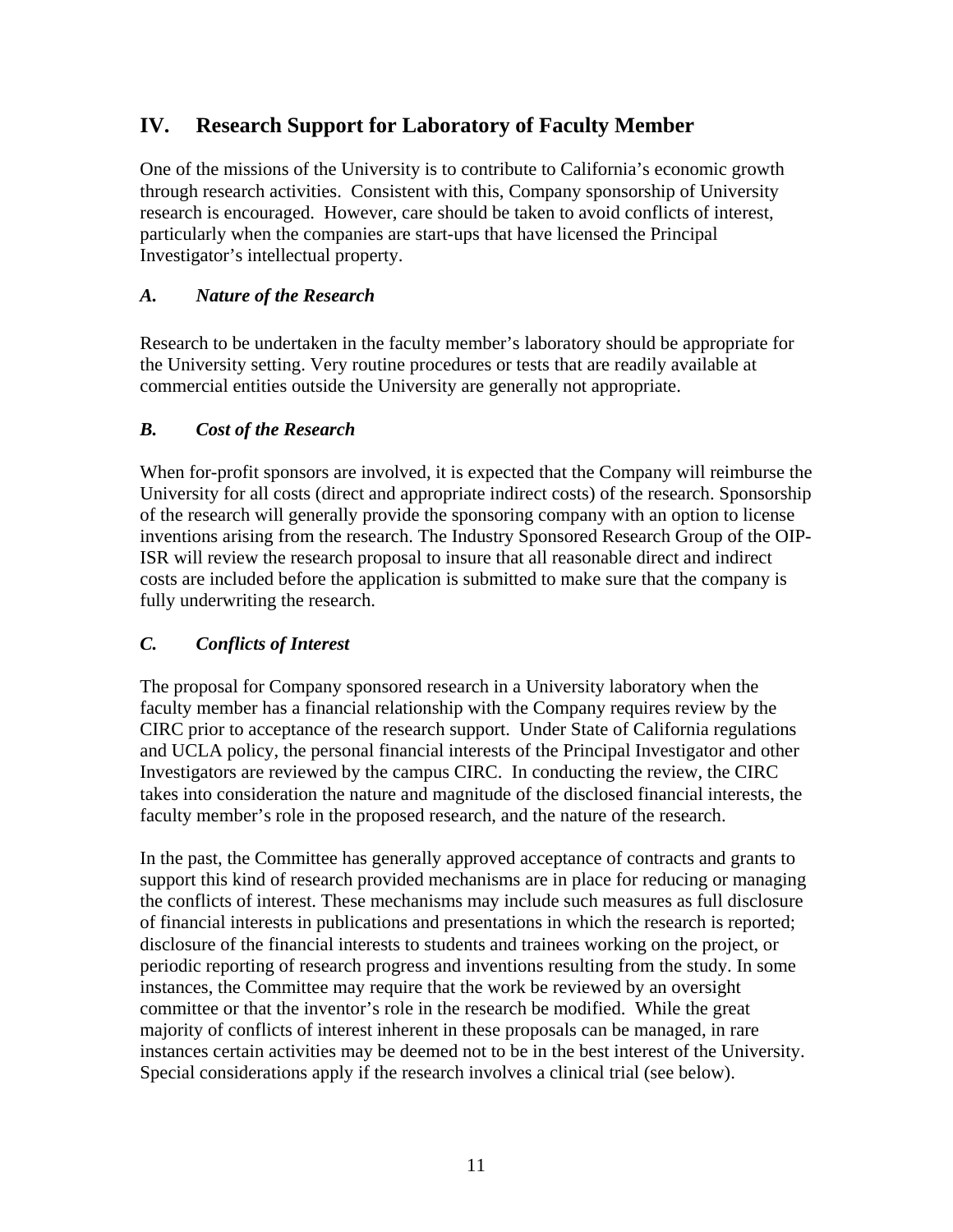# <span id="page-10-0"></span>**IV. Research Support for Laboratory of Faculty Member**

One of the missions of the University is to contribute to California's economic growth through research activities. Consistent with this, Company sponsorship of University research is encouraged. However, care should be taken to avoid conflicts of interest, particularly when the companies are start-ups that have licensed the Principal Investigator's intellectual property.

### *A. Nature of the Research*

Research to be undertaken in the faculty member's laboratory should be appropriate for the University setting. Very routine procedures or tests that are readily available at commercial entities outside the University are generally not appropriate.

### *B. Cost of the Research*

When for-profit sponsors are involved, it is expected that the Company will reimburse the University for all costs (direct and appropriate indirect costs) of the research. Sponsorship of the research will generally provide the sponsoring company with an option to license inventions arising from the research. The Industry Sponsored Research Group of the OIP-ISR will review the research proposal to insure that all reasonable direct and indirect costs are included before the application is submitted to make sure that the company is fully underwriting the research.

#### *C. Conflicts of Interest*

The proposal for Company sponsored research in a University laboratory when the faculty member has a financial relationship with the Company requires review by the CIRC prior to acceptance of the research support. Under State of California regulations and UCLA policy, the personal financial interests of the Principal Investigator and other Investigators are reviewed by the campus CIRC. In conducting the review, the CIRC takes into consideration the nature and magnitude of the disclosed financial interests, the faculty member's role in the proposed research, and the nature of the research.

In the past, the Committee has generally approved acceptance of contracts and grants to support this kind of research provided mechanisms are in place for reducing or managing the conflicts of interest. These mechanisms may include such measures as full disclosure of financial interests in publications and presentations in which the research is reported; disclosure of the financial interests to students and trainees working on the project, or periodic reporting of research progress and inventions resulting from the study. In some instances, the Committee may require that the work be reviewed by an oversight committee or that the inventor's role in the research be modified. While the great majority of conflicts of interest inherent in these proposals can be managed, in rare instances certain activities may be deemed not to be in the best interest of the University. Special considerations apply if the research involves a clinical trial (see below).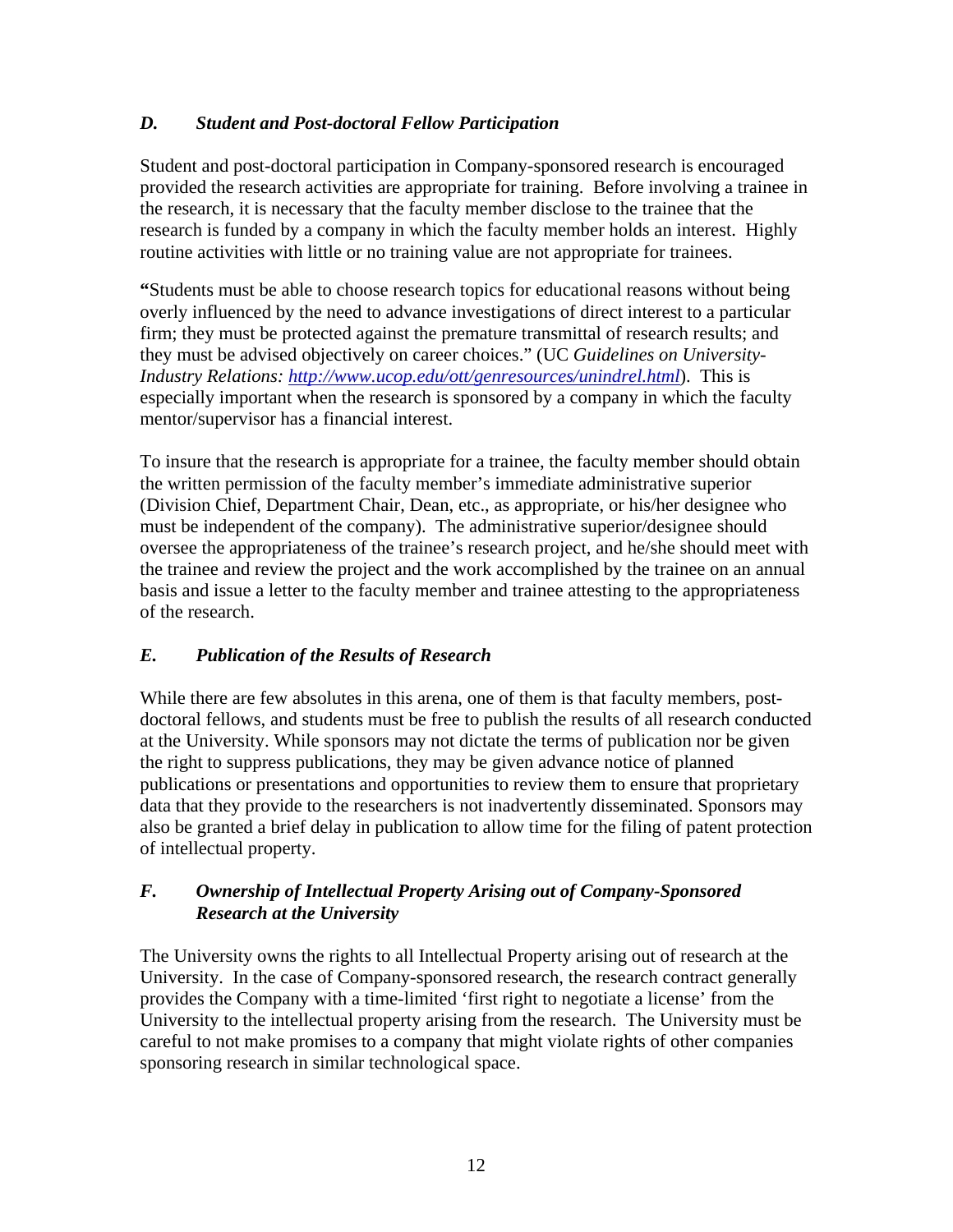### <span id="page-11-0"></span>*D. Student and Post-doctoral Fellow Participation*

Student and post-doctoral participation in Company-sponsored research is encouraged provided the research activities are appropriate for training. Before involving a trainee in the research, it is necessary that the faculty member disclose to the trainee that the research is funded by a company in which the faculty member holds an interest. Highly routine activities with little or no training value are not appropriate for trainees.

**"**Students must be able to choose research topics for educational reasons without being overly influenced by the need to advance investigations of direct interest to a particular firm; they must be protected against the premature transmittal of research results; and they must be advised objectively on career choices." (UC *Guidelines on University-Industry Relations:<http://www.ucop.edu/ott/genresources/unindrel.html>*). This is especially important when the research is sponsored by a company in which the faculty mentor/supervisor has a financial interest.

To insure that the research is appropriate for a trainee, the faculty member should obtain the written permission of the faculty member's immediate administrative superior (Division Chief, Department Chair, Dean, etc., as appropriate, or his/her designee who must be independent of the company). The administrative superior/designee should oversee the appropriateness of the trainee's research project, and he/she should meet with the trainee and review the project and the work accomplished by the trainee on an annual basis and issue a letter to the faculty member and trainee attesting to the appropriateness of the research.

# *E. Publication of the Results of Research*

While there are few absolutes in this arena, one of them is that faculty members, postdoctoral fellows, and students must be free to publish the results of all research conducted at the University. While sponsors may not dictate the terms of publication nor be given the right to suppress publications, they may be given advance notice of planned publications or presentations and opportunities to review them to ensure that proprietary data that they provide to the researchers is not inadvertently disseminated. Sponsors may also be granted a brief delay in publication to allow time for the filing of patent protection of intellectual property.

### *F. Ownership of Intellectual Property Arising out of Company-Sponsored Research at the University*

The University owns the rights to all Intellectual Property arising out of research at the University. In the case of Company-sponsored research, the research contract generally provides the Company with a time-limited 'first right to negotiate a license' from the University to the intellectual property arising from the research. The University must be careful to not make promises to a company that might violate rights of other companies sponsoring research in similar technological space.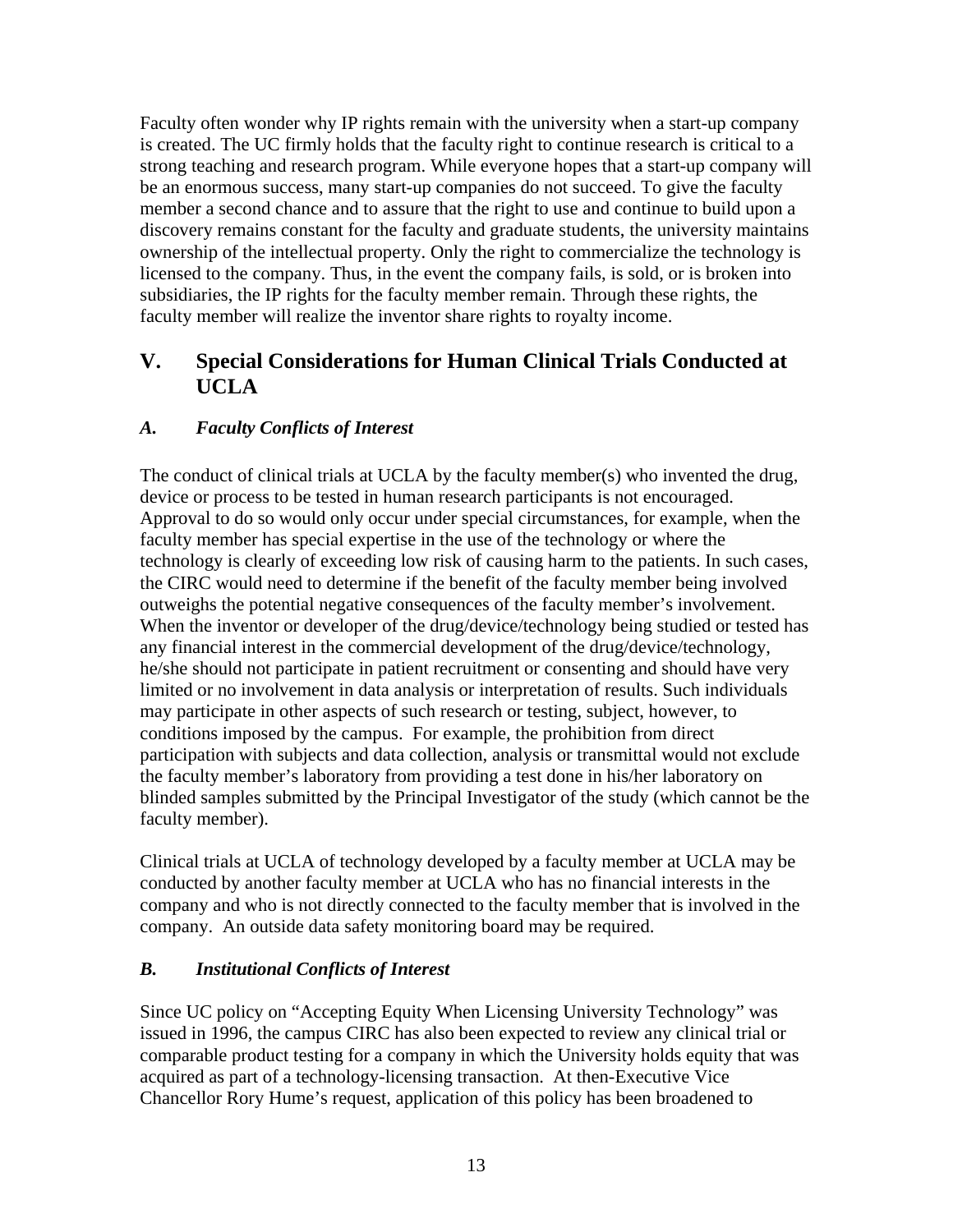<span id="page-12-0"></span>Faculty often wonder why IP rights remain with the university when a start-up company is created. The UC firmly holds that the faculty right to continue research is critical to a strong teaching and research program. While everyone hopes that a start-up company will be an enormous success, many start-up companies do not succeed. To give the faculty member a second chance and to assure that the right to use and continue to build upon a discovery remains constant for the faculty and graduate students, the university maintains ownership of the intellectual property. Only the right to commercialize the technology is licensed to the company. Thus, in the event the company fails, is sold, or is broken into subsidiaries, the IP rights for the faculty member remain. Through these rights, the faculty member will realize the inventor share rights to royalty income.

# **V. Special Considerations for Human Clinical Trials Conducted at UCLA**

### *A. Faculty Conflicts of Interest*

The conduct of clinical trials at UCLA by the faculty member(s) who invented the drug, device or process to be tested in human research participants is not encouraged. Approval to do so would only occur under special circumstances, for example, when the faculty member has special expertise in the use of the technology or where the technology is clearly of exceeding low risk of causing harm to the patients. In such cases, the CIRC would need to determine if the benefit of the faculty member being involved outweighs the potential negative consequences of the faculty member's involvement. When the inventor or developer of the drug/device/technology being studied or tested has any financial interest in the commercial development of the drug/device/technology, he/she should not participate in patient recruitment or consenting and should have very limited or no involvement in data analysis or interpretation of results. Such individuals may participate in other aspects of such research or testing, subject, however, to conditions imposed by the campus. For example, the prohibition from direct participation with subjects and data collection, analysis or transmittal would not exclude the faculty member's laboratory from providing a test done in his/her laboratory on blinded samples submitted by the Principal Investigator of the study (which cannot be the faculty member).

Clinical trials at UCLA of technology developed by a faculty member at UCLA may be conducted by another faculty member at UCLA who has no financial interests in the company and who is not directly connected to the faculty member that is involved in the company. An outside data safety monitoring board may be required.

#### *B. Institutional Conflicts of Interest*

Since UC policy on "Accepting Equity When Licensing University Technology" was issued in 1996, the campus CIRC has also been expected to review any clinical trial or comparable product testing for a company in which the University holds equity that was acquired as part of a technology-licensing transaction. At then-Executive Vice Chancellor Rory Hume's request, application of this policy has been broadened to